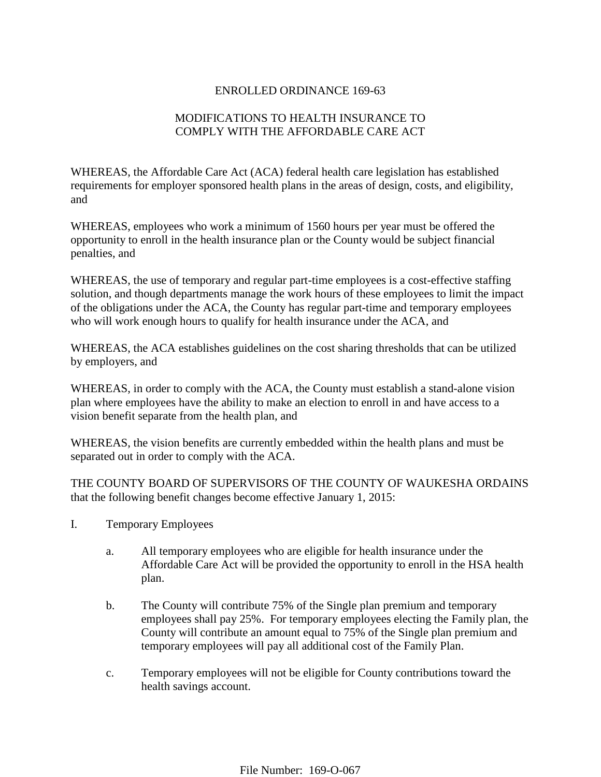## ENROLLED ORDINANCE 169-63

## MODIFICATIONS TO HEALTH INSURANCE TO COMPLY WITH THE AFFORDABLE CARE ACT

WHEREAS, the Affordable Care Act (ACA) federal health care legislation has established requirements for employer sponsored health plans in the areas of design, costs, and eligibility, and

WHEREAS, employees who work a minimum of 1560 hours per year must be offered the opportunity to enroll in the health insurance plan or the County would be subject financial penalties, and

WHEREAS, the use of temporary and regular part-time employees is a cost-effective staffing solution, and though departments manage the work hours of these employees to limit the impact of the obligations under the ACA, the County has regular part-time and temporary employees who will work enough hours to qualify for health insurance under the ACA, and

WHEREAS, the ACA establishes guidelines on the cost sharing thresholds that can be utilized by employers, and

WHEREAS, in order to comply with the ACA, the County must establish a stand-alone vision plan where employees have the ability to make an election to enroll in and have access to a vision benefit separate from the health plan, and

WHEREAS, the vision benefits are currently embedded within the health plans and must be separated out in order to comply with the ACA.

THE COUNTY BOARD OF SUPERVISORS OF THE COUNTY OF WAUKESHA ORDAINS that the following benefit changes become effective January 1, 2015:

- I. Temporary Employees
	- a. All temporary employees who are eligible for health insurance under the Affordable Care Act will be provided the opportunity to enroll in the HSA health plan.
	- b. The County will contribute 75% of the Single plan premium and temporary employees shall pay 25%. For temporary employees electing the Family plan, the County will contribute an amount equal to 75% of the Single plan premium and temporary employees will pay all additional cost of the Family Plan.
	- c. Temporary employees will not be eligible for County contributions toward the health savings account.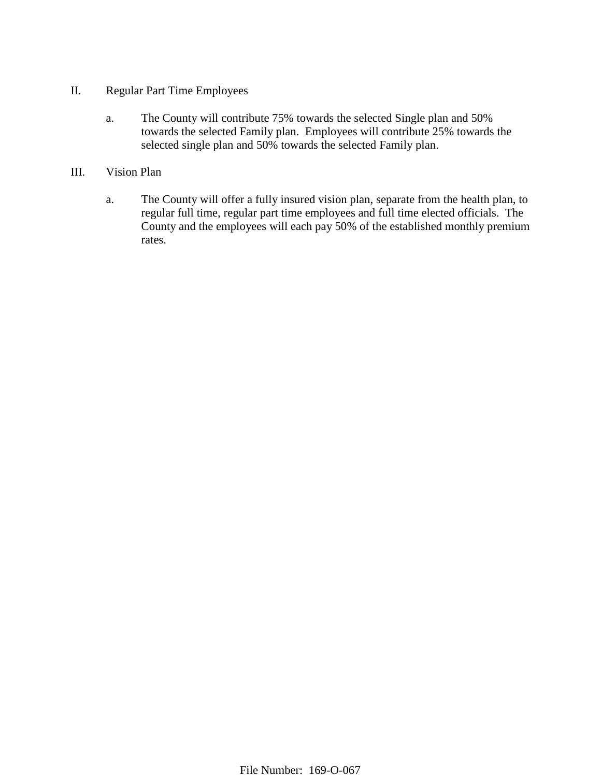- II. Regular Part Time Employees
	- a. The County will contribute 75% towards the selected Single plan and 50% towards the selected Family plan. Employees will contribute 25% towards the selected single plan and 50% towards the selected Family plan.
- III. Vision Plan
	- a. The County will offer a fully insured vision plan, separate from the health plan, to regular full time, regular part time employees and full time elected officials. The County and the employees will each pay 50% of the established monthly premium rates.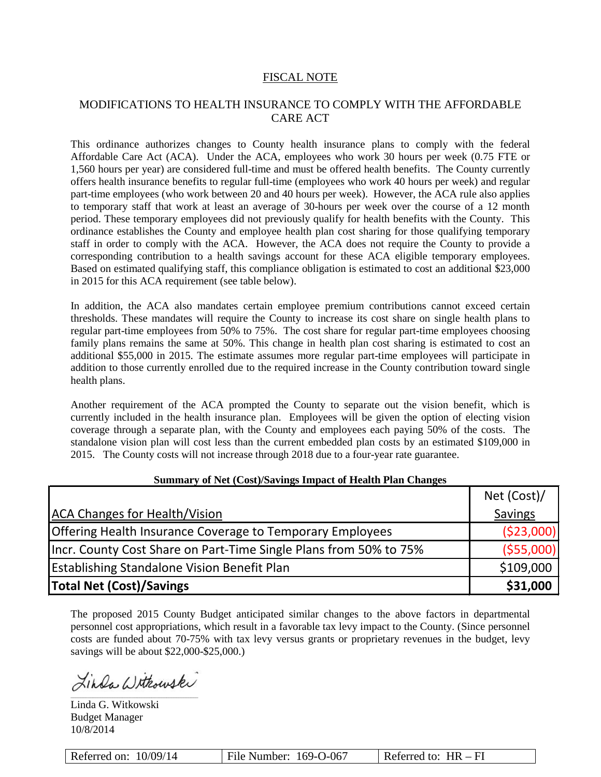### FISCAL NOTE

## MODIFICATIONS TO HEALTH INSURANCE TO COMPLY WITH THE AFFORDABLE CARE ACT

This ordinance authorizes changes to County health insurance plans to comply with the federal Affordable Care Act (ACA). Under the ACA, employees who work 30 hours per week (0.75 FTE or 1,560 hours per year) are considered full-time and must be offered health benefits. The County currently offers health insurance benefits to regular full-time (employees who work 40 hours per week) and regular part-time employees (who work between 20 and 40 hours per week). However, the ACA rule also applies to temporary staff that work at least an average of 30-hours per week over the course of a 12 month period. These temporary employees did not previously qualify for health benefits with the County. This ordinance establishes the County and employee health plan cost sharing for those qualifying temporary staff in order to comply with the ACA. However, the ACA does not require the County to provide a corresponding contribution to a health savings account for these ACA eligible temporary employees. Based on estimated qualifying staff, this compliance obligation is estimated to cost an additional \$23,000 in 2015 for this ACA requirement (see table below).

In addition, the ACA also mandates certain employee premium contributions cannot exceed certain thresholds. These mandates will require the County to increase its cost share on single health plans to regular part-time employees from 50% to 75%. The cost share for regular part-time employees choosing family plans remains the same at 50%. This change in health plan cost sharing is estimated to cost an additional \$55,000 in 2015. The estimate assumes more regular part-time employees will participate in addition to those currently enrolled due to the required increase in the County contribution toward single health plans.

Another requirement of the ACA prompted the County to separate out the vision benefit, which is currently included in the health insurance plan. Employees will be given the option of electing vision coverage through a separate plan, with the County and employees each paying 50% of the costs. The standalone vision plan will cost less than the current embedded plan costs by an estimated \$109,000 in 2015. The County costs will not increase through 2018 due to a four-year rate guarantee.

|                                                                   | Net (Cost)/ |
|-------------------------------------------------------------------|-------------|
| <b>ACA Changes for Health/Vision</b>                              | Savings     |
| <b>Offering Health Insurance Coverage to Temporary Employees</b>  | ( \$23,000] |
| Incr. County Cost Share on Part-Time Single Plans from 50% to 75% | ( \$55,000] |
| Establishing Standalone Vision Benefit Plan                       | \$109,000   |
| <b>Total Net (Cost)/Savings</b>                                   | \$31,000    |

#### **Summary of Net (Cost)/Savings Impact of Health Plan Changes**

The proposed 2015 County Budget anticipated similar changes to the above factors in departmental personnel cost appropriations, which result in a favorable tax levy impact to the County. (Since personnel costs are funded about 70-75% with tax levy versus grants or proprietary revenues in the budget, levy savings will be about \$22,000-\$25,000.)

Linda Withouski  $\mathcal{L}_\text{max}$  and  $\mathcal{L}_\text{max}$  and  $\mathcal{L}_\text{max}$  and  $\mathcal{L}_\text{max}$  and  $\mathcal{L}_\text{max}$ 

Linda G. Witkowski Budget Manager 10/8/2014

| Referred on: $10/09/14$ | File Number: 169-O-067 | Referred to: $HR - FI$ |
|-------------------------|------------------------|------------------------|
|-------------------------|------------------------|------------------------|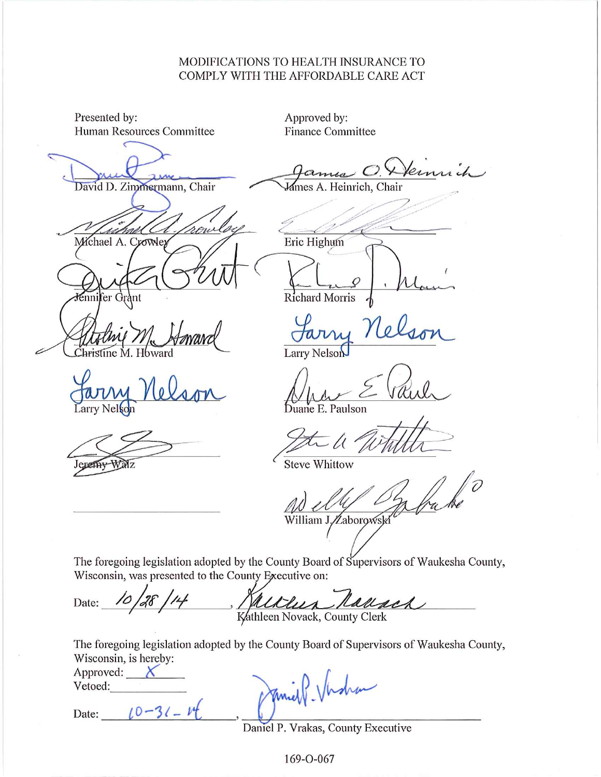# MODIFICATIONS TO HEALTH INSURANCE TO COMPLY WITH THE AFFORDABLE CARE ACT

| Presented by:<br>Human Resources Committee |                                                      | Approved by:<br><b>Finance Committee</b>                                                 |
|--------------------------------------------|------------------------------------------------------|------------------------------------------------------------------------------------------|
| David D. Zimmermann, Chair                 |                                                      | Kennich<br>$O$ .<br>James A. Heinrich, Chair                                             |
| Michael A. Crowley                         | mi                                                   | Eric Highum                                                                              |
| énnifer G                                  |                                                      | Richard Morris                                                                           |
| Christine M                                |                                                      | Farry<br><b>Larry Nelson</b>                                                             |
| ar<br>Larry Nelson                         |                                                      | Duane E. Paulson                                                                         |
|                                            |                                                      | <b>Steve Whittow</b>                                                                     |
|                                            |                                                      | William J./Zaborowsk                                                                     |
|                                            |                                                      |                                                                                          |
|                                            | Wisconsin, was presented to the County Executive on: | The foregoing legislation adopted by the County Board of Supervisors of Waukesha County, |
|                                            |                                                      | Date: 10/28/14, Millian National                                                         |
|                                            |                                                      |                                                                                          |

The foregoing legislation adopted by the County Board of Supervisors of Waukesha County, Wisconsin, is hereby:

| Approved: |  |
|-----------|--|
| Vetoed:   |  |
|           |  |
| Date:     |  |

What

Daniel P. Vrakas, County Executive

169-O-067